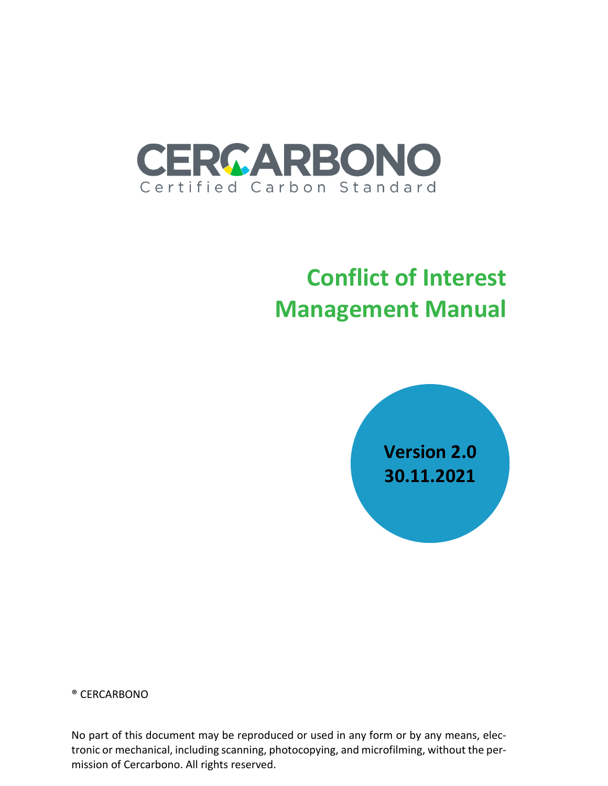

# **Conflict of Interest Management Manual**



® CERCARBONO

No part of this document may be reproduced or used in any form or by any means, electronic or mechanical, including scanning, photocopying, and microfilming, without the permission of Cercarbono. All rights reserved.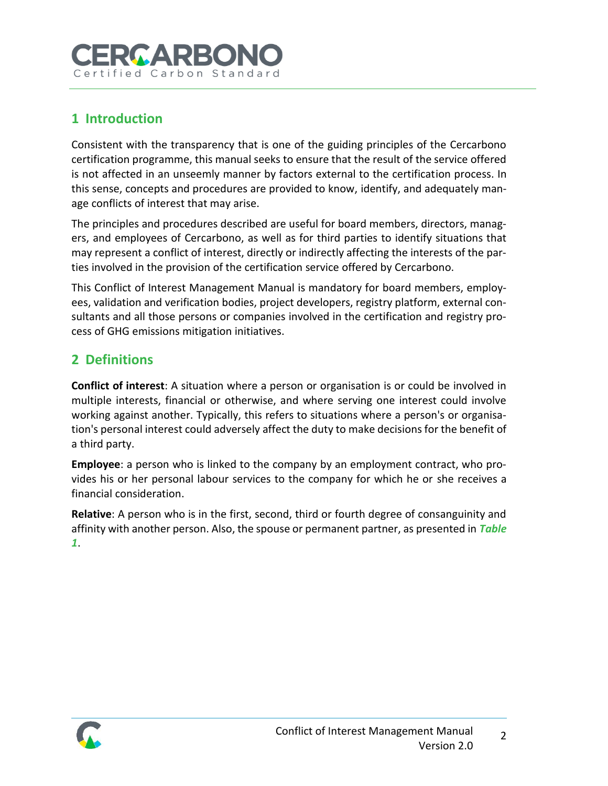# **RCARBOI** Certified Carbon

# **1 Introduction**

Consistent with the transparency that is one of the guiding principles of the Cercarbono certification programme, this manual seeks to ensure that the result of the service offered is not affected in an unseemly manner by factors external to the certification process. In this sense, concepts and procedures are provided to know, identify, and adequately manage conflicts of interest that may arise.

The principles and procedures described are useful for board members, directors, managers, and employees of Cercarbono, as well as for third parties to identify situations that may represent a conflict of interest, directly or indirectly affecting the interests of the parties involved in the provision of the certification service offered by Cercarbono.

This Conflict of Interest Management Manual is mandatory for board members, employees, validation and verification bodies, project developers, registry platform, external consultants and all those persons or companies involved in the certification and registry process of GHG emissions mitigation initiatives.

# **2 Definitions**

**Conflict of interest**: A situation where a person or organisation is or could be involved in multiple interests, financial or otherwise, and where serving one interest could involve working against another. Typically, this refers to situations where a person's or organisation's personal interest could adversely affect the duty to make decisions for the benefit of a third party.

**Employee**: a person who is linked to the company by an employment contract, who provides his or her personal labour services to the company for which he or she receives a financial consideration.

**Relative**: A person who is in the first, second, third or fourth degree of consanguinity and affinity with another person. Also, the spouse or permanent partner, as presented in *[Table](#page-2-0)  [1](#page-2-0)*.

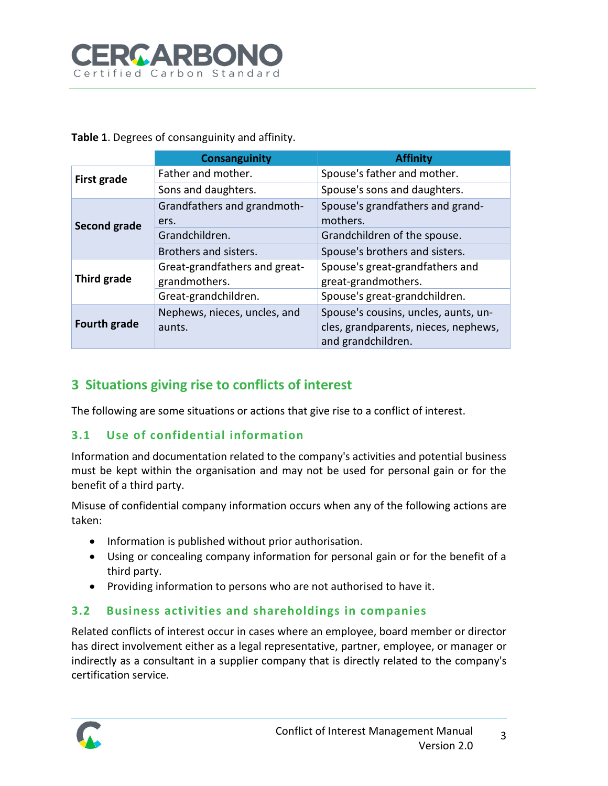

<span id="page-2-0"></span>**Table 1**. Degrees of consanguinity and affinity.

|                     | Consanguinity                 | <b>Affinity</b>                      |
|---------------------|-------------------------------|--------------------------------------|
| First grade         | Father and mother.            | Spouse's father and mother.          |
|                     | Sons and daughters.           | Spouse's sons and daughters.         |
| Second grade        | Grandfathers and grandmoth-   | Spouse's grandfathers and grand-     |
|                     | ers.                          | mothers.                             |
|                     | Grandchildren.                | Grandchildren of the spouse.         |
|                     | Brothers and sisters.         | Spouse's brothers and sisters.       |
| Third grade         | Great-grandfathers and great- | Spouse's great-grandfathers and      |
|                     | grandmothers.                 | great-grandmothers.                  |
|                     | Great-grandchildren.          | Spouse's great-grandchildren.        |
| <b>Fourth grade</b> | Nephews, nieces, uncles, and  | Spouse's cousins, uncles, aunts, un- |
|                     | aunts.                        | cles, grandparents, nieces, nephews, |
|                     |                               | and grandchildren.                   |

## **3 Situations giving rise to conflicts of interest**

The following are some situations or actions that give rise to a conflict of interest.

#### **3.1 Use of confidential information**

Information and documentation related to the company's activities and potential business must be kept within the organisation and may not be used for personal gain or for the benefit of a third party.

Misuse of confidential company information occurs when any of the following actions are taken:

- Information is published without prior authorisation.
- Using or concealing company information for personal gain or for the benefit of a third party.
- Providing information to persons who are not authorised to have it.

#### **3.2 Business activities and shareholdings in companies**

Related conflicts of interest occur in cases where an employee, board member or director has direct involvement either as a legal representative, partner, employee, or manager or indirectly as a consultant in a supplier company that is directly related to the company's certification service.

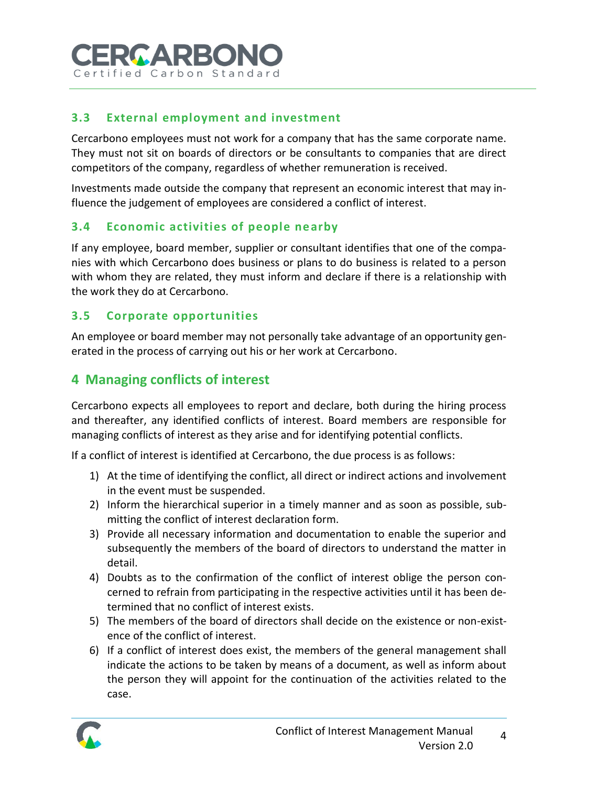

#### **3.3 External employment and investment**

Cercarbono employees must not work for a company that has the same corporate name. They must not sit on boards of directors or be consultants to companies that are direct competitors of the company, regardless of whether remuneration is received.

Investments made outside the company that represent an economic interest that may influence the judgement of employees are considered a conflict of interest.

#### **3.4 Economic activities of people nearby**

If any employee, board member, supplier or consultant identifies that one of the companies with which Cercarbono does business or plans to do business is related to a person with whom they are related, they must inform and declare if there is a relationship with the work they do at Cercarbono.

#### **3.5 Corporate opportunities**

An employee or board member may not personally take advantage of an opportunity generated in the process of carrying out his or her work at Cercarbono.

#### **4 Managing conflicts of interest**

Cercarbono expects all employees to report and declare, both during the hiring process and thereafter, any identified conflicts of interest. Board members are responsible for managing conflicts of interest as they arise and for identifying potential conflicts.

If a conflict of interest is identified at Cercarbono, the due process is as follows:

- 1) At the time of identifying the conflict, all direct or indirect actions and involvement in the event must be suspended.
- 2) Inform the hierarchical superior in a timely manner and as soon as possible, submitting the conflict of interest declaration form.
- 3) Provide all necessary information and documentation to enable the superior and subsequently the members of the board of directors to understand the matter in detail.
- 4) Doubts as to the confirmation of the conflict of interest oblige the person concerned to refrain from participating in the respective activities until it has been determined that no conflict of interest exists.
- 5) The members of the board of directors shall decide on the existence or non-existence of the conflict of interest.
- 6) If a conflict of interest does exist, the members of the general management shall indicate the actions to be taken by means of a document, as well as inform about the person they will appoint for the continuation of the activities related to the case.

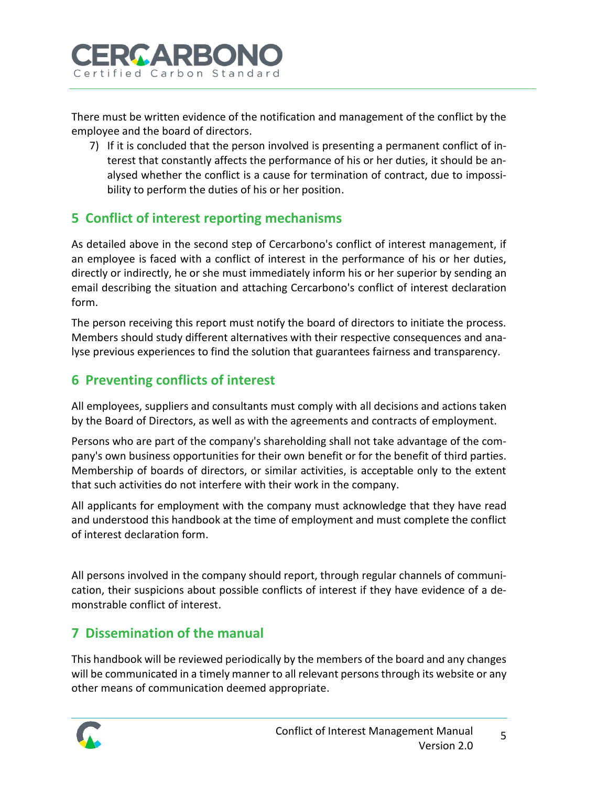

There must be written evidence of the notification and management of the conflict by the employee and the board of directors.

7) If it is concluded that the person involved is presenting a permanent conflict of interest that constantly affects the performance of his or her duties, it should be analysed whether the conflict is a cause for termination of contract, due to impossibility to perform the duties of his or her position.

# **5 Conflict of interest reporting mechanisms**

As detailed above in the second step of Cercarbono's conflict of interest management, if an employee is faced with a conflict of interest in the performance of his or her duties, directly or indirectly, he or she must immediately inform his or her superior by sending an email describing the situation and attaching Cercarbono's conflict of interest declaration form.

The person receiving this report must notify the board of directors to initiate the process. Members should study different alternatives with their respective consequences and analyse previous experiences to find the solution that guarantees fairness and transparency.

# **6 Preventing conflicts of interest**

All employees, suppliers and consultants must comply with all decisions and actions taken by the Board of Directors, as well as with the agreements and contracts of employment.

Persons who are part of the company's shareholding shall not take advantage of the company's own business opportunities for their own benefit or for the benefit of third parties. Membership of boards of directors, or similar activities, is acceptable only to the extent that such activities do not interfere with their work in the company.

All applicants for employment with the company must acknowledge that they have read and understood this handbook at the time of employment and must complete the conflict of interest declaration form.

All persons involved in the company should report, through regular channels of communication, their suspicions about possible conflicts of interest if they have evidence of a demonstrable conflict of interest.

### **7 Dissemination of the manual**

This handbook will be reviewed periodically by the members of the board and any changes will be communicated in a timely manner to all relevant persons through its website or any other means of communication deemed appropriate.